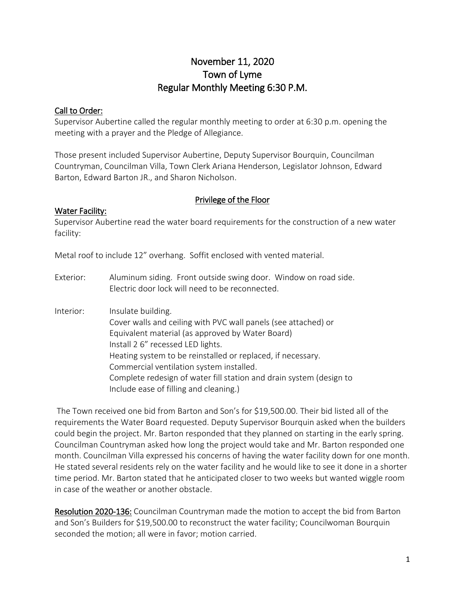# November 11, 2020 Town of Lyme Regular Monthly Meeting 6:30 P.M.

#### Call to Order:

Supervisor Aubertine called the regular monthly meeting to order at 6:30 p.m. opening the meeting with a prayer and the Pledge of Allegiance.

Those present included Supervisor Aubertine, Deputy Supervisor Bourquin, Councilman Countryman, Councilman Villa, Town Clerk Ariana Henderson, Legislator Johnson, Edward Barton, Edward Barton JR., and Sharon Nicholson.

#### Privilege of the Floor

#### Water Facility:

Supervisor Aubertine read the water board requirements for the construction of a new water facility:

Metal roof to include 12" overhang. Soffit enclosed with vented material.

- Exterior: Aluminum siding. Front outside swing door. Window on road side. Electric door lock will need to be reconnected.
- Interior: Insulate building. Cover walls and ceiling with PVC wall panels (see attached) or Equivalent material (as approved by Water Board) Install 2 6" recessed LED lights. Heating system to be reinstalled or replaced, if necessary. Commercial ventilation system installed. Complete redesign of water fill station and drain system (design to Include ease of filling and cleaning.)

The Town received one bid from Barton and Son's for \$19,500.00. Their bid listed all of the requirements the Water Board requested. Deputy Supervisor Bourquin asked when the builders could begin the project. Mr. Barton responded that they planned on starting in the early spring. Councilman Countryman asked how long the project would take and Mr. Barton responded one month. Councilman Villa expressed his concerns of having the water facility down for one month. He stated several residents rely on the water facility and he would like to see it done in a shorter time period. Mr. Barton stated that he anticipated closer to two weeks but wanted wiggle room in case of the weather or another obstacle.

Resolution 2020-136: Councilman Countryman made the motion to accept the bid from Barton and Son's Builders for \$19,500.00 to reconstruct the water facility; Councilwoman Bourquin seconded the motion; all were in favor; motion carried.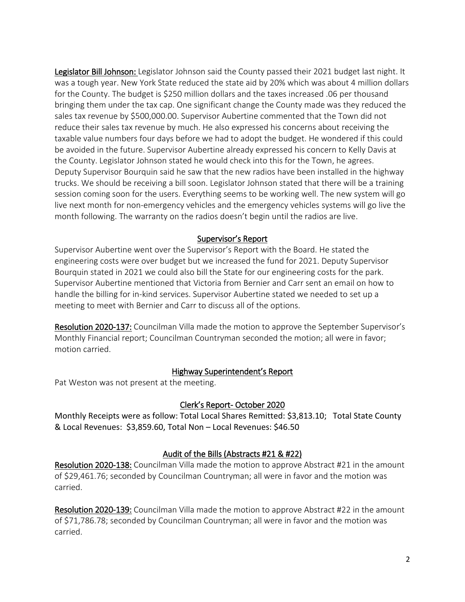Legislator Bill Johnson: Legislator Johnson said the County passed their 2021 budget last night. It was a tough year. New York State reduced the state aid by 20% which was about 4 million dollars for the County. The budget is \$250 million dollars and the taxes increased .06 per thousand bringing them under the tax cap. One significant change the County made was they reduced the sales tax revenue by \$500,000.00. Supervisor Aubertine commented that the Town did not reduce their sales tax revenue by much. He also expressed his concerns about receiving the taxable value numbers four days before we had to adopt the budget. He wondered if this could be avoided in the future. Supervisor Aubertine already expressed his concern to Kelly Davis at the County. Legislator Johnson stated he would check into this for the Town, he agrees. Deputy Supervisor Bourquin said he saw that the new radios have been installed in the highway trucks. We should be receiving a bill soon. Legislator Johnson stated that there will be a training session coming soon for the users. Everything seems to be working well. The new system will go live next month for non-emergency vehicles and the emergency vehicles systems will go live the month following. The warranty on the radios doesn't begin until the radios are live.

#### Supervisor's Report

Supervisor Aubertine went over the Supervisor's Report with the Board. He stated the engineering costs were over budget but we increased the fund for 2021. Deputy Supervisor Bourquin stated in 2021 we could also bill the State for our engineering costs for the park. Supervisor Aubertine mentioned that Victoria from Bernier and Carr sent an email on how to handle the billing for in-kind services. Supervisor Aubertine stated we needed to set up a meeting to meet with Bernier and Carr to discuss all of the options.

Resolution 2020-137: Councilman Villa made the motion to approve the September Supervisor's Monthly Financial report; Councilman Countryman seconded the motion; all were in favor; motion carried.

#### Highway Superintendent's Report

Pat Weston was not present at the meeting.

#### Clerk's Report- October 2020

Monthly Receipts were as follow: Total Local Shares Remitted: \$3,813.10; Total State County & Local Revenues: \$3,859.60, Total Non – Local Revenues: \$46.50

#### Audit of the Bills (Abstracts #21 & #22)

Resolution 2020-138: Councilman Villa made the motion to approve Abstract #21 in the amount of \$29,461.76; seconded by Councilman Countryman; all were in favor and the motion was carried.

Resolution 2020-139: Councilman Villa made the motion to approve Abstract #22 in the amount of \$71,786.78; seconded by Councilman Countryman; all were in favor and the motion was carried.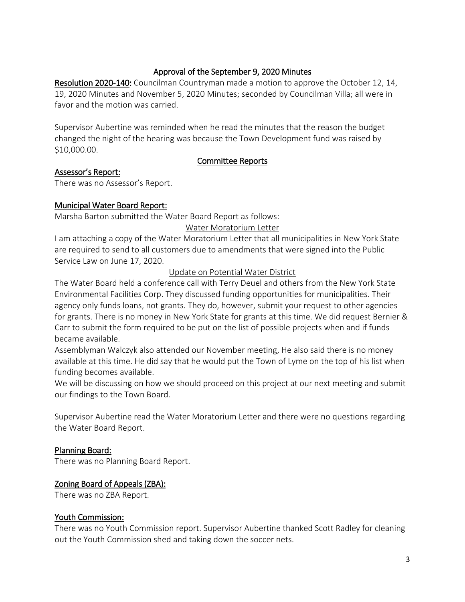### Approval of the September 9, 2020 Minutes

Resolution 2020-140: Councilman Countryman made a motion to approve the October 12, 14, 19, 2020 Minutes and November 5, 2020 Minutes; seconded by Councilman Villa; all were in favor and the motion was carried.

Supervisor Aubertine was reminded when he read the minutes that the reason the budget changed the night of the hearing was because the Town Development fund was raised by \$10,000.00.

#### Committee Reports

### Assessor's Report:

There was no Assessor's Report.

### Municipal Water Board Report:

Marsha Barton submitted the Water Board Report as follows:

Water Moratorium Letter

I am attaching a copy of the Water Moratorium Letter that all municipalities in New York State are required to send to all customers due to amendments that were signed into the Public Service Law on June 17, 2020.

### Update on Potential Water District

The Water Board held a conference call with Terry Deuel and others from the New York State Environmental Facilities Corp. They discussed funding opportunities for municipalities. Their agency only funds loans, not grants. They do, however, submit your request to other agencies for grants. There is no money in New York State for grants at this time. We did request Bernier & Carr to submit the form required to be put on the list of possible projects when and if funds became available.

Assemblyman Walczyk also attended our November meeting, He also said there is no money available at this time. He did say that he would put the Town of Lyme on the top of his list when funding becomes available.

We will be discussing on how we should proceed on this project at our next meeting and submit our findings to the Town Board.

Supervisor Aubertine read the Water Moratorium Letter and there were no questions regarding the Water Board Report.

#### Planning Board:

There was no Planning Board Report.

#### Zoning Board of Appeals (ZBA):

There was no ZBA Report.

#### Youth Commission:

There was no Youth Commission report. Supervisor Aubertine thanked Scott Radley for cleaning out the Youth Commission shed and taking down the soccer nets.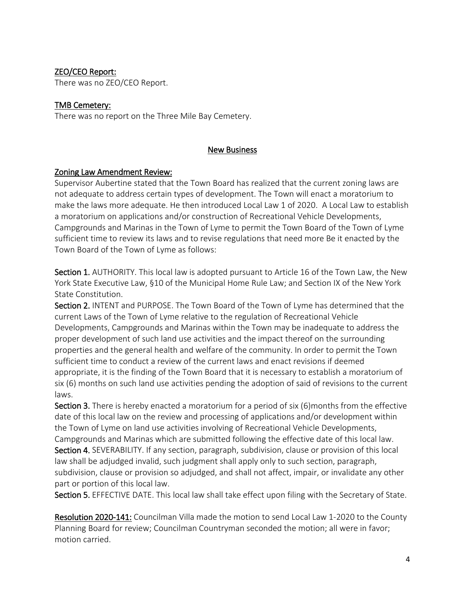### ZEO/CEO Report:

There was no ZEO/CEO Report.

#### TMB Cemetery:

There was no report on the Three Mile Bay Cemetery.

#### New Business

#### Zoning Law Amendment Review:

Supervisor Aubertine stated that the Town Board has realized that the current zoning laws are not adequate to address certain types of development. The Town will enact a moratorium to make the laws more adequate. He then introduced Local Law 1 of 2020. A Local Law to establish a moratorium on applications and/or construction of Recreational Vehicle Developments, Campgrounds and Marinas in the Town of Lyme to permit the Town Board of the Town of Lyme sufficient time to review its laws and to revise regulations that need more Be it enacted by the Town Board of the Town of Lyme as follows:

Section 1. AUTHORITY. This local law is adopted pursuant to Article 16 of the Town Law, the New York State Executive Law, §10 of the Municipal Home Rule Law; and Section IX of the New York State Constitution.

Section 2. INTENT and PURPOSE. The Town Board of the Town of Lyme has determined that the current Laws of the Town of Lyme relative to the regulation of Recreational Vehicle Developments, Campgrounds and Marinas within the Town may be inadequate to address the proper development of such land use activities and the impact thereof on the surrounding properties and the general health and welfare of the community. In order to permit the Town sufficient time to conduct a review of the current laws and enact revisions if deemed appropriate, it is the finding of the Town Board that it is necessary to establish a moratorium of six (6) months on such land use activities pending the adoption of said of revisions to the current laws.

Section 3. There is hereby enacted a moratorium for a period of six (6)months from the effective date of this local law on the review and processing of applications and/or development within the Town of Lyme on land use activities involving of Recreational Vehicle Developments, Campgrounds and Marinas which are submitted following the effective date of this local law. Section 4. SEVERABILITY. If any section, paragraph, subdivision, clause or provision of this local law shall be adjudged invalid, such judgment shall apply only to such section, paragraph, subdivision, clause or provision so adjudged, and shall not affect, impair, or invalidate any other part or portion of this local law.

Section 5. EFFECTIVE DATE. This local law shall take effect upon filing with the Secretary of State.

Resolution 2020-141: Councilman Villa made the motion to send Local Law 1-2020 to the County Planning Board for review; Councilman Countryman seconded the motion; all were in favor; motion carried.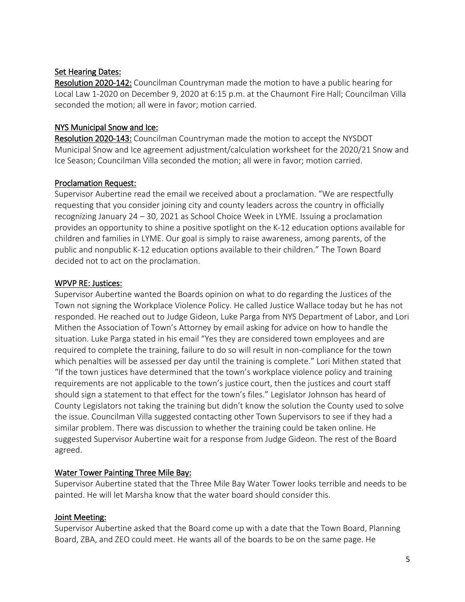### Set Hearing Dates:

Resolution 2020-142: Councilman Countryman made the motion to have a public hearing for Local Law 1-2020 on December 9, 2020 at 6:15 p.m. at the Chaumont Fire Hall; Councilman Villa seconded the motion; all were in favor; motion carried.

### NYS Municipal Snow and Ice:

Resolution 2020-143: Councilman Countryman made the motion to accept the NYSDOT Municipal Snow and Ice agreement adjustment/calculation worksheet for the 2020/21 Snow and Ice Season; Councilman Villa seconded the motion; all were in favor; motion carried.

### Proclamation Request:

Supervisor Aubertine read the email we received about a proclamation. "We are respectfully requesting that you consider joining city and county leaders across the country in officially recognizing January 24 – 30, 2021 as School Choice Week in LYME. Issuing a proclamation provides an opportunity to shine a positive spotlight on the K-12 education options available for children and families in LYME. Our goal is simply to raise awareness, among parents, of the public and nonpublic K-12 education options available to their children." The Town Board decided not to act on the proclamation.

### WPVP RE: Justices:

Supervisor Aubertine wanted the Boards opinion on what to do regarding the Justices of the Town not signing the Workplace Violence Policy. He called Justice Wallace today but he has not responded. He reached out to Judge Gideon, Luke Parga from NYS Department of Labor, and Lori Mithen the Association of Town's Attorney by email asking for advice on how to handle the situation. Luke Parga stated in his email "Yes they are considered town employees and are required to complete the training, failure to do so will result in non-compliance for the town which penalties will be assessed per day until the training is complete." Lori Mithen stated that "If the town justices have determined that the town's workplace violence policy and training requirements are not applicable to the town's justice court, then the justices and court staff should sign a statement to that effect for the town's files." Legislator Johnson has heard of County Legislators not taking the training but didn't know the solution the County used to solve the issue. Councilman Villa suggested contacting other Town Supervisors to see if they had a similar problem. There was discussion to whether the training could be taken online. He suggested Supervisor Aubertine wait for a response from Judge Gideon. The rest of the Board agreed.

### Water Tower Painting Three Mile Bay:

Supervisor Aubertine stated that the Three Mile Bay Water Tower looks terrible and needs to be painted. He will let Marsha know that the water board should consider this.

#### Joint Meeting:

Supervisor Aubertine asked that the Board come up with a date that the Town Board, Planning Board, ZBA, and ZEO could meet. He wants all of the boards to be on the same page. He